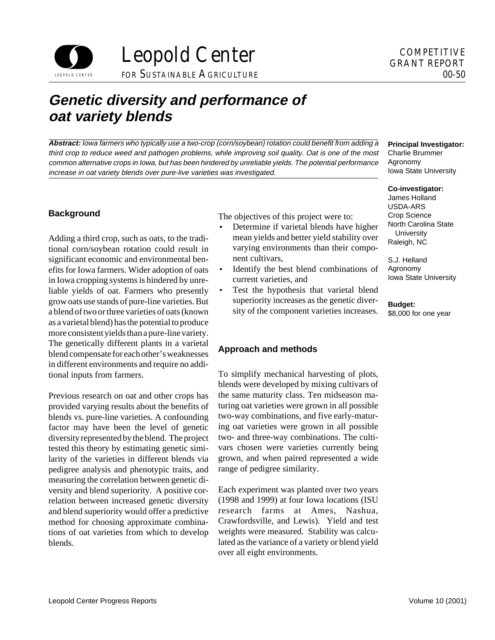

# **Genetic diversity and performance of oat variety blends**

**Abstract:** Iowa farmers who typically use a two-crop (corn/soybean) rotation could benefit from adding a third crop to reduce weed and pathogen problems, while improving soil quality. Oat is one of the most common alternative crops in Iowa, but has been hindered by unreliable yields. The potential performance increase in oat variety blends over pure-live varieties was investigated.

## **Background**

Adding a third crop, such as oats, to the traditional corn/soybean rotation could result in significant economic and environmental benefits for Iowa farmers. Wider adoption of oats in Iowa cropping systems is hindered by unreliable yields of oat. Farmers who presently grow oats use stands of pure-line varieties. But a blend of two or three varieties of oats (known as a varietal blend) has the potential to produce more consistent yields than a pure-line variety. The genetically different plants in a varietal blend compensate for each other's weaknesses in different environments and require no additional inputs from farmers.

Previous research on oat and other crops has provided varying results about the benefits of blends vs. pure-line varieties. A confounding factor may have been the level of genetic diversity represented by the blend. The project tested this theory by estimating genetic similarity of the varieties in different blends via pedigree analysis and phenotypic traits, and measuring the correlation between genetic diversity and blend superiority. A positive correlation between increased genetic diversity and blend superiority would offer a predictive method for choosing approximate combinations of oat varieties from which to develop blends.

The objectives of this project were to:

- Determine if varietal blends have higher mean yields and better yield stability over varying environments than their component cultivars,
- Identify the best blend combinations of current varieties, and
- Test the hypothesis that varietal blend superiority increases as the genetic diversity of the component varieties increases.

# **Approach and methods**

To simplify mechanical harvesting of plots, blends were developed by mixing cultivars of the same maturity class. Ten midseason maturing oat varieties were grown in all possible two-way combinations, and five early-maturing oat varieties were grown in all possible two- and three-way combinations. The cultivars chosen were varieties currently being grown, and when paired represented a wide range of pedigree similarity.

Each experiment was planted over two years (1998 and 1999) at four Iowa locations (ISU research farms at Ames, Nashua, Crawfordsville, and Lewis). Yield and test weights were measured. Stability was calculated as the variance of a variety or blend yield over all eight environments.

#### **Principal Investigator:**

Charlie Brummer Agronomy Iowa State University

#### **Co-investigator:**

James Holland USDA-ARS Crop Science North Carolina State **University** Raleigh, NC

S.J. Helland Agronomy Iowa State University

#### **Budget:**

\$8,000 for one year